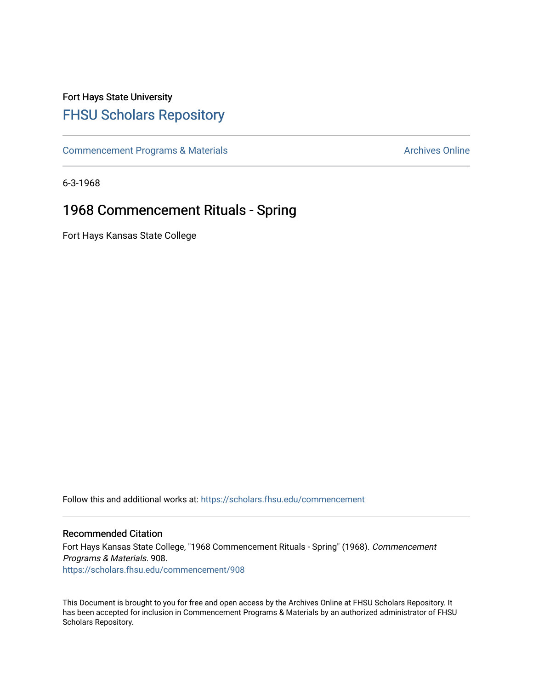## Fort Hays State University [FHSU Scholars Repository](https://scholars.fhsu.edu/)

[Commencement Programs & Materials](https://scholars.fhsu.edu/commencement) **Archives Online** Archives Online

6-3-1968

## 1968 Commencement Rituals - Spring

Fort Hays Kansas State College

Follow this and additional works at: [https://scholars.fhsu.edu/commencement](https://scholars.fhsu.edu/commencement?utm_source=scholars.fhsu.edu%2Fcommencement%2F908&utm_medium=PDF&utm_campaign=PDFCoverPages)

## Recommended Citation

Fort Hays Kansas State College, "1968 Commencement Rituals - Spring" (1968). Commencement Programs & Materials. 908. [https://scholars.fhsu.edu/commencement/908](https://scholars.fhsu.edu/commencement/908?utm_source=scholars.fhsu.edu%2Fcommencement%2F908&utm_medium=PDF&utm_campaign=PDFCoverPages)

This Document is brought to you for free and open access by the Archives Online at FHSU Scholars Repository. It has been accepted for inclusion in Commencement Programs & Materials by an authorized administrator of FHSU Scholars Repository.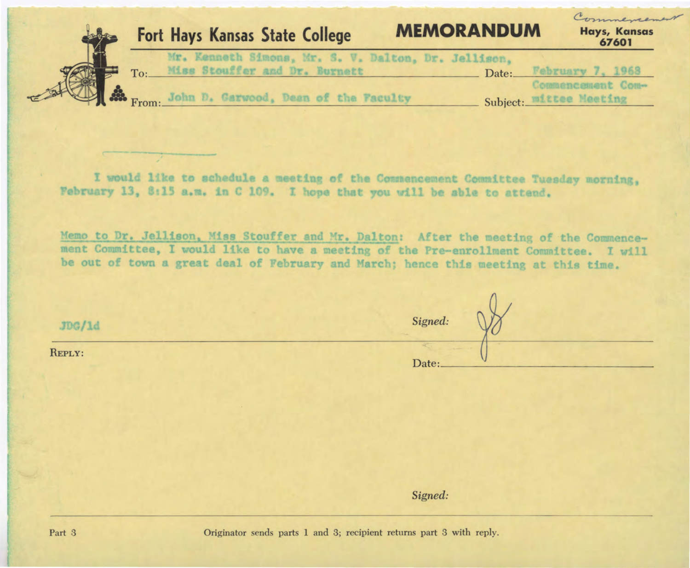| <b>MEMORANDUM</b><br><b>Fort Hays Kansas State College</b><br>67601<br>Mr. Kenneth Simons, Mr. S. V. Dalton, Dr. Jellison,<br>Miss Stouffer and Dr. Burnett<br>To:<br>Date: |  |  |                              |
|-----------------------------------------------------------------------------------------------------------------------------------------------------------------------------|--|--|------------------------------|
| February 7, 1968<br>Commencement Com-                                                                                                                                       |  |  | Commencement<br>Hays, Kansas |
|                                                                                                                                                                             |  |  |                              |

I would like to schedule a meeting of the Commencement Committee Tuesday morning, February 13, 8:15 a.m. in C 109. I hope that you will be able to attend.

Memo to Dr. Jellison, Miss Stouffer and Mr. Dalton: After the meeting of the Commencement Committee, I would like to have a meeting of the Pre-enrollment Committee. I will be out of town a great deal of February and March; hence this meeting at this time.

| JDG/1d | Signed: |
|--------|---------|
| REPLY: | Date:   |

*Signed:*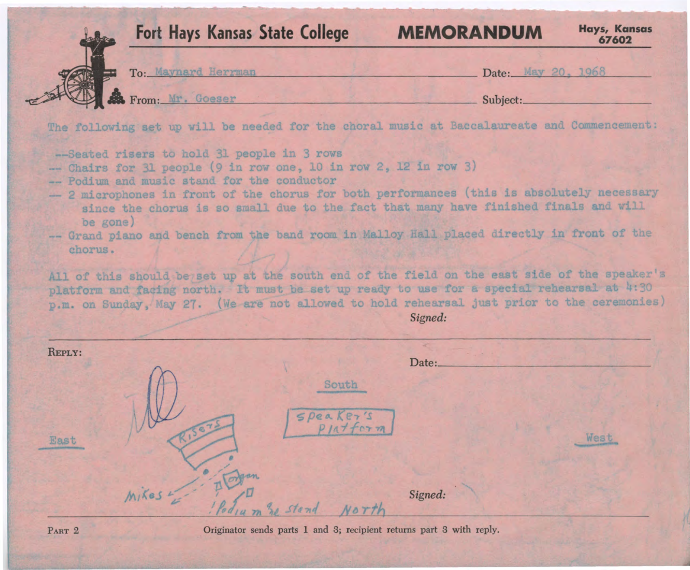|                | <b>Fort Hays Kansas State College</b>                                                                                                                                                                                                                                                                                                                                                                                                                                                      |                                   | <b>MEMORANDUM</b>  | <b>Hays, Kansas</b><br>67602 |
|----------------|--------------------------------------------------------------------------------------------------------------------------------------------------------------------------------------------------------------------------------------------------------------------------------------------------------------------------------------------------------------------------------------------------------------------------------------------------------------------------------------------|-----------------------------------|--------------------|------------------------------|
|                | To: Maynard Herrman                                                                                                                                                                                                                                                                                                                                                                                                                                                                        |                                   | Date: May 20, 1968 |                              |
|                | From: Mr. Goeser                                                                                                                                                                                                                                                                                                                                                                                                                                                                           |                                   | Subject:           |                              |
|                | The following set up will be needed for the choral music at Baccalaureate and Commencement:                                                                                                                                                                                                                                                                                                                                                                                                |                                   |                    |                              |
|                | -- Podium and music stand for the conductor<br>- 2 microphones in front of the chorus for both performances (this is absolutely necessary                                                                                                                                                                                                                                                                                                                                                  |                                   |                    |                              |
| chorus.        | since the chorus is so small due to the fact that many have finished finals and will<br>be gone)<br>-- Grand piano and bench from the band room in Malloy Hall placed directly in front of the<br>All of this should be set up at the south end of the field on the east side of the speaker's<br>platform and facing north. It must be set up ready to use for a special rehearsal at 4:30<br>p.m. on Sunday, May 27. (We are not allowed to hold rehearsal just prior to the ceremonies) |                                   | Signed:            |                              |
| REPLY:<br>East |                                                                                                                                                                                                                                                                                                                                                                                                                                                                                            | South<br>Speaker's<br>$P1a+for m$ | Date:              | West                         |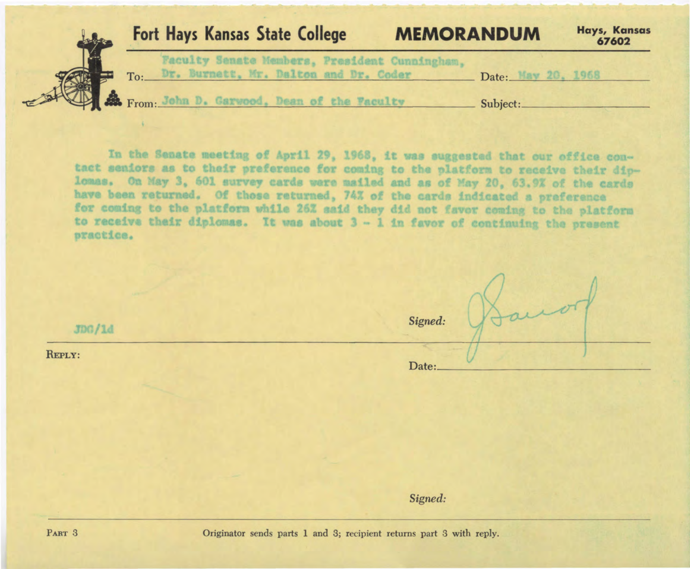| Fort Hays Kansas State College<br><b>MEMORANDUM</b>                                        |                    | Hays, Kansas<br>67602 |
|--------------------------------------------------------------------------------------------|--------------------|-----------------------|
| Faculty Senate Members, President Cunningham,<br>To: Dr. Burnett, Mr. Dalton and Dr. Coder | Date: May 20, 1968 |                       |
| Ref. From: John D. Garwood, Dean of the Faculty                                            | Subject:           |                       |

In the Senate meeting of April 29, 1968, it was suggested that our office contact seniors as to their preference for coming to the platform to receive their diplomas. On May 3, 601 survey cards were mailed and as of May 20, 63.9% of the cards have been returned. Of those returned, 74% of the cards indicated a preference for coming to the platform while 26% aaid they did not favor coming to the platform to receive their diplomas. It was about  $3 - 1$  in favor of continuing the present practice.

*Signed:*   $JDG/1d$ Date: \_ \_\_\_\_\_\_\_\_\_\_\_\_\_ \_ REPLY: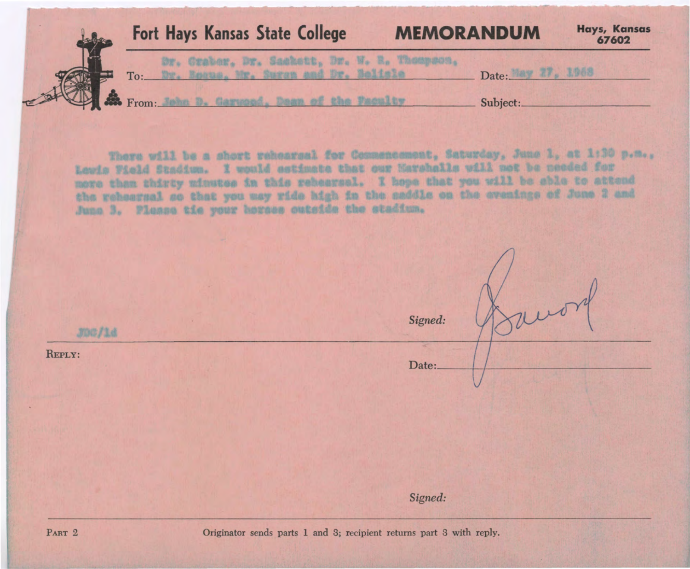| Fort Hays Kansas State College<br><b>MEMORANDUM</b> |          | Hays, Kansas<br>67602 |
|-----------------------------------------------------|----------|-----------------------|
| Dr. Craber, Dr. Saskett, Dr. W. B. Thoupson.<br>To: | Date:    | 正宝的过                  |
| <b>Si</b> From:                                     | Subject: |                       |

There will be a short rehearsal for Commencement, Saturday, June 1, at 1:30 p.m., Lowis Field Stadium. I would estimate that our Marshalls will not be peoded for more than thirty minutes in this rebearsal. I hope that you will be sble to attend the rehearsal so that you way ride high in the saddle on the evenings of June 2 and Junn 3. Please tie your horses outside the stadium.

*Signed:*   $J007/1d$ REPLY: Date:

*Signed:*